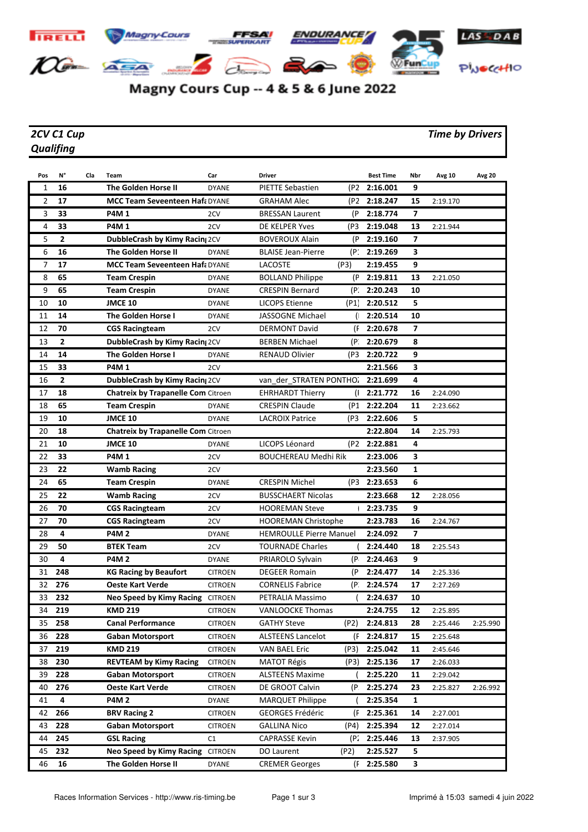

## Magny Cours Cup -- 4 & 5 & 6 June 2022

## *Qualifing*

## *2CV C1 Cup Time by Drivers*

| Pos | N°             | Cla | Team                                      | Car            | <b>Driver</b>                  |                | <b>Best Time</b>          | Nbr            | Avg 10   | <b>Avg 20</b> |
|-----|----------------|-----|-------------------------------------------|----------------|--------------------------------|----------------|---------------------------|----------------|----------|---------------|
| 1   | 16             |     | <b>The Golden Horse II</b>                | <b>DYANE</b>   | <b>PIETTE Sebastien</b>        | (P2            | 2:16.001                  | 9              |          |               |
| 2   | 17             |     | <b>MCC Team Seveenteen Haf: DYANE</b>     |                | <b>GRAHAM Alec</b>             |                | (P2 2:18.247              | 15             | 2:19.170 |               |
| 3   | 33             |     | <b>P4M1</b>                               | 2CV            | <b>BRESSAN Laurent</b>         | (P             | 2:18.774                  | 7              |          |               |
| 4   | 33             |     | <b>P4M1</b>                               | 2CV            | DE KELPER Yves                 | (P3            | 2:19.048                  | 13             | 2:21.944 |               |
| 5   | $\mathbf{2}$   |     | <b>DubbleCrash by Kimy Racing 2CV</b>     |                | <b>BOVEROUX Alain</b>          | (P             | 2:19.160                  | 7              |          |               |
| 6   | 16             |     | The Golden Horse II                       | <b>DYANE</b>   | <b>BLAISE Jean-Pierre</b>      | (P:            | 2:19.269                  | 3              |          |               |
| 7   | 17             |     | <b>MCC Team Seveenteen Haf: DYANE</b>     |                | LACOSTE                        | (P3)           | 2:19.455                  | 9              |          |               |
| 8   | 65             |     | <b>Team Crespin</b>                       | <b>DYANE</b>   | <b>BOLLAND Philippe</b>        | (P             | 2:19.811                  | 13             | 2:21.050 |               |
| 9   | 65             |     | <b>Team Crespin</b>                       | <b>DYANE</b>   | <b>CRESPIN Bernard</b>         | (P.            | 2:20.243                  | 10             |          |               |
| 10  | 10             |     | <b>JMCE 10</b>                            | <b>DYANE</b>   | <b>LICOPS Etienne</b>          | (P1)           | 2:20.512                  | 5              |          |               |
| 11  | 14             |     | <b>The Golden Horse I</b>                 | <b>DYANE</b>   | JASSOGNE Michael               |                | 2:20.514                  | 10             |          |               |
| 12  | 70             |     | <b>CGS Racingteam</b>                     | 2CV            | <b>DERMONT David</b>           | (F             | 2:20.678                  | $\overline{ }$ |          |               |
| 13  | 2              |     | DubbleCrash by Kimy Racin; 2CV            |                | <b>BERBEN Michael</b>          | (P.            | 2:20.679                  | 8              |          |               |
| 14  | 14             |     | The Golden Horse I                        | <b>DYANE</b>   | <b>RENAUD Olivier</b>          | (P3            | 2:20.722                  | 9              |          |               |
| 15  | 33             |     | <b>P4M1</b>                               | 2CV            |                                |                | 2:21.566                  | 3              |          |               |
| 16  | $\overline{2}$ |     | DubbleCrash by Kimy Racin; 2CV            |                | van_der_STRATEN PONTHO:        |                | 2:21.699                  | 4              |          |               |
| 17  | 18             |     | <b>Chatreix by Trapanelle Com Citroen</b> |                | <b>EHRHARDT Thierry</b>        | $\mathfrak{a}$ | 2:21.772                  | 16             | 2:24.090 |               |
| 18  | 65             |     | <b>Team Crespin</b>                       | <b>DYANE</b>   | <b>CRESPIN Claude</b>          | (P1            | 2:22.204                  | 11             | 2:23.662 |               |
| 19  | 10             |     | <b>JMCE 10</b>                            | <b>DYANE</b>   | <b>LACROIX Patrice</b>         | (P3            | 2:22.606                  | 5              |          |               |
| 20  | 18             |     | <b>Chatreix by Trapanelle Com Citroen</b> |                |                                |                | 2:22.804                  | 14             | 2:25.793 |               |
| 21  | 10             |     | <b>JMCE 10</b>                            | <b>DYANE</b>   | LICOPS Léonard                 | (P2)           | 2:22.881                  | 4              |          |               |
| 22  | 33             |     | <b>P4M1</b>                               | 2CV            | <b>BOUCHEREAU Medhi Rik</b>    |                | 2:23.006                  | 3              |          |               |
| 23  | 22             |     | <b>Wamb Racing</b>                        | 2CV            |                                |                | 2:23.560                  | $\mathbf{1}$   |          |               |
| 24  | 65             |     | <b>Team Crespin</b>                       | <b>DYANE</b>   | <b>CRESPIN Michel</b>          | (P3            | 2:23.653                  | 6              |          |               |
| 25  | 22             |     | <b>Wamb Racing</b>                        | 2CV            | <b>BUSSCHAERT Nicolas</b>      |                | 2:23.668                  | 12             | 2:28.056 |               |
| 26  | 70             |     | <b>CGS Racingteam</b>                     | 2CV            | <b>HOOREMAN Steve</b>          |                | 2:23.735                  | 9              |          |               |
| 27  | 70             |     | <b>CGS Racingteam</b>                     | 2CV            | <b>HOOREMAN Christophe</b>     |                | 2:23.783                  | 16             | 2:24.767 |               |
| 28  | 4              |     | <b>P4M2</b>                               | <b>DYANE</b>   | <b>HEMROULLE Pierre Manuel</b> |                | 2:24.092                  | $\overline{ }$ |          |               |
| 29  | 50             |     | <b>BTEK Team</b>                          | 2CV            | <b>TOURNADE Charles</b>        |                | 2:24.440                  | 18             | 2:25.543 |               |
| 30  | 4              |     | <b>P4M2</b>                               | <b>DYANE</b>   | PRIAROLO Sylvain               | (P.            | 2:24.463                  | 9              |          |               |
| 31  | 248            |     | <b>KG Racing by Beaufort</b>              | <b>CITROEN</b> | <b>DEGEER Romain</b>           | (P             | 2:24.477                  | 14             | 2:25.336 |               |
| 32  | 276            |     | <b>Oeste Kart Verde</b>                   | <b>CITROEN</b> | <b>CORNELIS Fabrice</b>        | (P.            | 2:24.574                  | 17             | 2:27.269 |               |
| 33  | 232            |     | <b>Neo Speed by Kimy Racing CITROEN</b>   |                | PETRALIA Massimo               |                | 2:24.637                  | 10             |          |               |
| 34  | 219            |     | <b>KMD 219</b>                            | <b>CITROEN</b> | VANLOOCKE Thomas               |                | 2:24.755                  | 12             | 2:25.895 |               |
| 35  | 258            |     | <b>Canal Performance</b>                  | <b>CITROEN</b> | <b>GATHY Steve</b>             | (P2)           | 2:24.813                  | 28             | 2:25.446 | 2:25.990      |
| 36  | 228            |     | <b>Gaban Motorsport</b>                   | <b>CITROEN</b> | <b>ALSTEENS Lancelot</b>       | (F             | 2:24.817                  | 15             | 2:25.648 |               |
| 37  | 219            |     | <b>KMD 219</b>                            | <b>CITROEN</b> | <b>VAN BAEL Eric</b>           | (P3)           | 2:25.042                  | 11             | 2:45.646 |               |
| 38  | 230            |     | <b>REVTEAM by Kimy Racing</b>             | <b>CITROEN</b> | MATOT Régis                    | (P3)           | 2:25.136                  | 17             | 2:26.033 |               |
| 39  | 228            |     | <b>Gaban Motorsport</b>                   | <b>CITROEN</b> | <b>ALSTEENS Maxime</b>         |                | 2:25.220                  | 11             | 2:29.042 |               |
| 40  | 276            |     | <b>Oeste Kart Verde</b>                   | <b>CITROEN</b> | DE GROOT Calvin                | (P.            | 2:25.274                  | 23             | 2:25.827 | 2:26.992      |
| 41  | 4              |     | <b>P4M2</b>                               | <b>DYANE</b>   | <b>MARQUET Philippe</b>        |                | 2:25.354                  | 1              |          |               |
| 42  | 266            |     | <b>BRV Racing 2</b>                       | <b>CITROEN</b> | <b>GEORGES Frédéric</b>        | (F             | 2:25.361                  | 14             | 2:27.001 |               |
| 43  | 228            |     | <b>Gaban Motorsport</b>                   | <b>CITROEN</b> | GALLINA Nico                   | (P4)           | 2:25.394                  | 12             | 2:27.014 |               |
| 44  | 245            |     | <b>GSL Racing</b>                         | C1             | <b>CAPRASSE Kevin</b>          |                | (P <sub>2</sub> 2:25.446) | 13             | 2:37.905 |               |
| 45  | 232            |     | Neo Speed by Kimy Racing CITROEN          |                | DO Laurent                     | (P2)           | 2:25.527                  | 5              |          |               |
| 46  | 16             |     | The Golden Horse II                       | <b>DYANE</b>   | <b>CREMER Georges</b>          |                | (F 2:25.580               | 3              |          |               |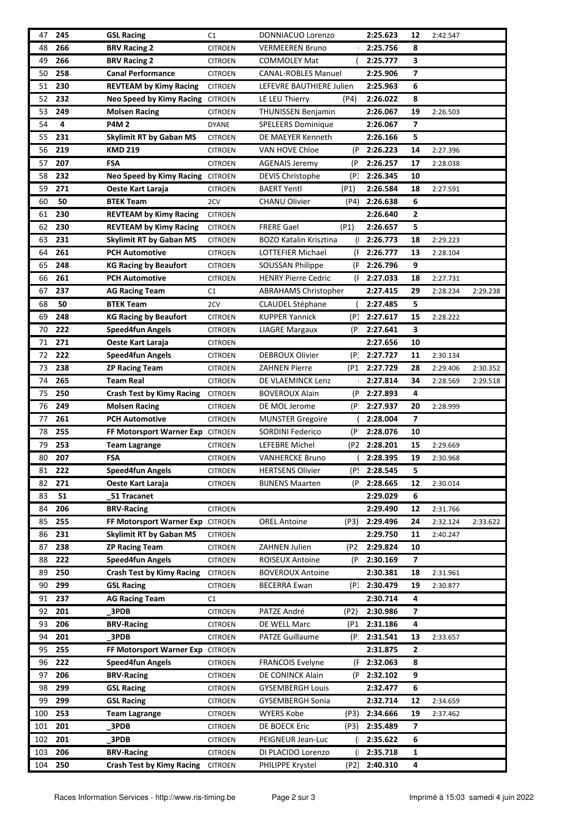| 47  | 245 | <b>GSL Racing</b>                | C <sub>1</sub> | DONNIACUO Lorenzo             |              | 2:25.623     | 12                      | 2:42.547 |          |
|-----|-----|----------------------------------|----------------|-------------------------------|--------------|--------------|-------------------------|----------|----------|
| 48  | 266 | <b>BRV Racing 2</b>              | <b>CITROEN</b> | <b>VERMEEREN Bruno</b>        |              | 2:25.756     | 8                       |          |          |
| 49  | 266 | <b>BRV Racing 2</b>              | <b>CITROEN</b> | COMMOLEY Mat                  |              | 2:25.777     | 3                       |          |          |
| 50  | 258 | <b>Canal Performance</b>         | <b>CITROEN</b> | <b>CANAL-ROBLES Manuel</b>    |              | 2:25.906     | 7                       |          |          |
| 51  | 230 | <b>REVTEAM by Kimy Racing</b>    | <b>CITROEN</b> | LEFEVRE BAUTHIERE Julien      |              | 2:25.963     | 6                       |          |          |
| 52  | 232 | Neo Speed by Kimy Racing CITROEN |                | LE LEU Thierry                | (P4)         | 2:26.022     | 8                       |          |          |
| 53  | 249 | <b>Molsen Racing</b>             | <b>CITROEN</b> | <b>THUNISSEN Benjamin</b>     |              | 2:26.067     | 19                      | 2:26.503 |          |
| 54  | 4   | <b>P4M2</b>                      | <b>DYANE</b>   | SPELEERS Dominique            |              | 2:26.067     | 7                       |          |          |
| 55  | 231 | <b>Skylimit RT by Gaban MS</b>   | <b>CITROEN</b> | DE MAEYER Kenneth             |              | 2:26.166     | 5                       |          |          |
| 56  | 219 | <b>KMD 219</b>                   | <b>CITROEN</b> | VAN HOVE Chloe                | (P           | 2:26.223     | 14                      | 2:27.396 |          |
| 57  | 207 | <b>FSA</b>                       | <b>CITROEN</b> | <b>AGENAIS Jeremy</b>         | (P           | 2:26.257     | 17                      | 2:28.038 |          |
| 58  | 232 | Neo Speed by Kimy Racing CITROEN |                | <b>DEVIS Christophe</b>       | (P.          | 2:26.345     | 10                      |          |          |
|     | 271 |                                  |                | <b>BAERT Yentl</b>            |              | 2:26.584     | 18                      |          |          |
| 59  |     | Oeste Kart Laraja                | <b>CITROEN</b> |                               | (P1)         |              |                         | 2:27.591 |          |
| 60  | 50  | <b>BTEK Team</b>                 | 2CV            | <b>CHANU Olivier</b>          | (P4)         | 2:26.638     | 6                       |          |          |
| 61  | 230 | <b>REVTEAM by Kimy Racing</b>    | <b>CITROEN</b> |                               |              | 2:26.640     | 2                       |          |          |
| 62  | 230 | <b>REVTEAM by Kimy Racing</b>    | <b>CITROEN</b> | <b>FRERE Gael</b>             | (P1)         | 2:26.657     | 5                       |          |          |
| 63  | 231 | <b>Skylimit RT by Gaban MS</b>   | <b>CITROEN</b> | <b>BOZO Katalin Krisztina</b> | $\mathbf{r}$ | 2:26.773     | 18                      | 2:29.223 |          |
| 64  | 261 | <b>PCH Automotive</b>            | <b>CITROEN</b> | LOTTEFIER Michael             | (F           | 2:26.777     | 13                      | 2:28.104 |          |
| 65  | 248 | <b>KG Racing by Beaufort</b>     | <b>CITROEN</b> | <b>SOUSSAN Philippe</b>       | (F           | 2:26.796     | 9                       |          |          |
| 66  | 261 | <b>PCH Automotive</b>            | <b>CITROEN</b> | <b>HENRY Pierre Cedric</b>    | Œ            | 2:27.033     | 18                      | 2:27.731 |          |
| 67  | 237 | <b>AG Racing Team</b>            | C1             | <b>ABRAHAMS Christopher</b>   |              | 2:27.415     | 29                      | 2:28.234 | 2:29.238 |
| 68  | 50  | <b>BTEK Team</b>                 | 2CV            | <b>CLAUDEL Stéphane</b>       |              | 2:27.485     | 5                       |          |          |
| 69  | 248 | <b>KG Racing by Beaufort</b>     | <b>CITROEN</b> | <b>KUPPER Yannick</b>         | (P1          | 2:27.617     | 15                      | 2:28.222 |          |
| 70  | 222 | Speed4fun Angels                 | <b>CITROEN</b> | LIAGRE Margaux                | (P.          | 2:27.641     | 3                       |          |          |
| 71  | 271 | Oeste Kart Laraja                | <b>CITROEN</b> |                               |              | 2:27.656     | 10                      |          |          |
| 72  | 222 | <b>Speed4fun Angels</b>          | <b>CITROEN</b> | <b>DEBROUX Olivier</b>        | (P.          | 2:27.727     | 11                      | 2:30.134 |          |
| 73  | 238 | <b>ZP Racing Team</b>            | <b>CITROEN</b> | <b>ZAHNEN Pierre</b>          | (P1          | 2:27.729     | 28                      | 2:29.406 | 2:30.352 |
| 74  | 265 | <b>Team Real</b>                 | <b>CITROEN</b> | DE VLAEMINCK Lenz             |              | 2:27.814     | 34                      | 2:28.569 | 2:29.518 |
| 75  | 250 | <b>Crash Test by Kimy Racing</b> | <b>CITROEN</b> | <b>BOVEROUX Alain</b>         |              | (P 2:27.893  | 4                       |          |          |
| 76  | 249 | <b>Molsen Racing</b>             | <b>CITROEN</b> | DE MOL Jerome                 | (P.          | 2:27.937     | 20                      | 2:28.999 |          |
| 77  | 261 | <b>PCH Automotive</b>            | <b>CITROEN</b> | <b>MUNSTER Gregoire</b>       |              | 2:28.004     | 7                       |          |          |
| 78  | 255 | FF Motorsport Warner Exp CITROEN |                | <b>SORDINI Federico</b>       | (P.          | 2:28.076     | 10                      |          |          |
| 79  | 253 | <b>Team Lagrange</b>             | <b>CITROEN</b> | LEFEBRE Michel                | (P2)         | 2:28.201     | 15                      | 2:29.669 |          |
| 80  | 207 | FSA                              | <b>CITROEN</b> | <b>VANHERCKE Bruno</b>        |              | 2:28.395     | 19                      | 2:30.968 |          |
| 81  | 222 | <b>Speed4fun Angels</b>          | <b>CITROEN</b> | <b>HERTSENS Olivier</b>       |              | (P! 2:28.545 | 5.                      |          |          |
| 82  | 271 | Oeste Kart Laraja                | <b>CITROEN</b> | <b>BIJNENS Maarten</b>        | (P           | 2:28.665     | 12                      | 2:30.014 |          |
| 83  | 51  | 51 Tracanet                      |                |                               |              | 2:29.029     | 6                       |          |          |
| 84  | 206 | <b>BRV-Racing</b>                | <b>CITROEN</b> |                               |              | 2:29.490     | 12                      | 2:31.766 |          |
| 85  | 255 | FF Motorsport Warner Exp         | <b>CITROEN</b> | <b>OREL Antoine</b>           | (P3)         | 2:29.496     | 24                      | 2:32.124 | 2:33.622 |
| 86  | 231 | <b>Skylimit RT by Gaban MS</b>   | <b>CITROEN</b> |                               |              | 2:29.750     | 11                      | 2:40.247 |          |
| 87  | 238 | <b>ZP Racing Team</b>            | <b>CITROEN</b> | ZAHNEN Julien                 | (P2)         | 2:29.824     | 10                      |          |          |
| 88  | 222 | <b>Speed4fun Angels</b>          | <b>CITROEN</b> | ROISEUX Antoine               | (P           | 2:30.169     | $\overline{\mathbf{z}}$ |          |          |
| 89  | 250 | <b>Crash Test by Kimy Racing</b> | <b>CITROEN</b> | <b>BOVEROUX Antoine</b>       |              | 2:30.381     | 18                      | 2:31.961 |          |
| 90  | 299 | <b>GSL Racing</b>                | <b>CITROEN</b> | <b>BECERRA Ewan</b>           | (P.          | 2:30.479     | 19                      | 2:30.877 |          |
| 91  | 237 | <b>AG Racing Team</b>            | C1             |                               |              | 2:30.714     | 4                       |          |          |
| 92  | 201 | 3PDB                             | <b>CITROEN</b> | PATZE André                   | (P2)         | 2:30.986     | 7                       |          |          |
| 93  | 206 | <b>BRV-Racing</b>                | <b>CITROEN</b> | DE WELL Marc                  | (P1          | 2:31.186     | 4                       |          |          |
| 94  | 201 | 3PDB                             | <b>CITROEN</b> | <b>PATZE Guillaume</b>        | (P∶          | 2:31.541     | 13                      | 2:33.657 |          |
| 95  | 255 | FF Motorsport Warner Exp CITROEN |                |                               |              | 2:31.875     | 2                       |          |          |
| 96  | 222 | <b>Speed4fun Angels</b>          | <b>CITROEN</b> | <b>FRANCOIS Evelyne</b>       | (F           | 2:32.063     | 8                       |          |          |
| 97  | 206 | <b>BRV-Racing</b>                | CITROEN        | DE CONINCK Alain              | (P           | 2:32.102     | 9                       |          |          |
| 98  | 299 | <b>GSL Racing</b>                | <b>CITROEN</b> | <b>GYSEMBERGH Louis</b>       |              | 2:32.477     | 6                       |          |          |
| 99  | 299 | <b>GSL Racing</b>                | <b>CITROEN</b> | GYSEMBERGH Sonia              |              | 2:32.714     | 12                      | 2:34.659 |          |
| 100 | 253 | <b>Team Lagrange</b>             | <b>CITROEN</b> | <b>WYERS Kobe</b>             | (P3)         | 2:34.666     | 19                      | 2:37.462 |          |
| 101 | 201 | 3PDB                             | <b>CITROEN</b> | DE BOECK Eric                 | (P3)         | 2:35.489     | $\overline{ }$          |          |          |
| 102 | 201 | 3PDB                             | <b>CITROEN</b> | PEIGNEUR Jean-Luc             |              | 2:35.622     | 6                       |          |          |
| 103 | 206 | <b>BRV-Racing</b>                | <b>CITROEN</b> | DI PLACIDO Lorenzo            |              | 2:35.718     | 1                       |          |          |
| 104 | 250 | <b>Crash Test by Kimy Racing</b> | <b>CITROEN</b> | PHILIPPE Krystel              | (P2)         | 2:40.310     | 4                       |          |          |